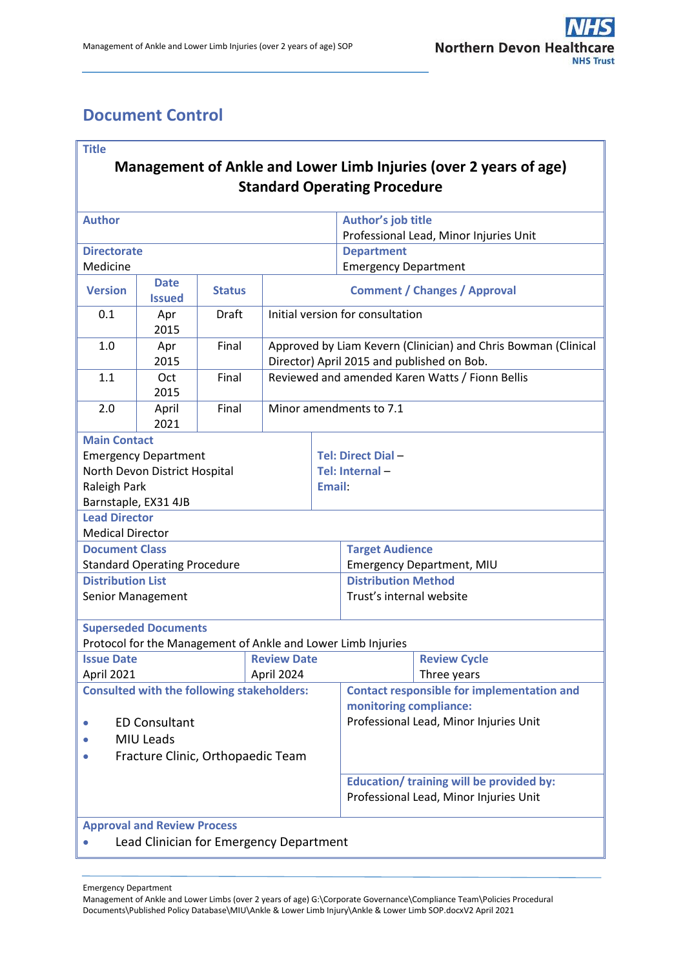# <span id="page-0-0"></span>**Document Control**

| <b>Title</b><br>Management of Ankle and Lower Limb Injuries (over 2 years of age)<br><b>Standard Operating Procedure</b>                        |                                     |               |                                  |                                                                                                              |                                                                                                                                                                                                                    |                                    |  |  |  |
|-------------------------------------------------------------------------------------------------------------------------------------------------|-------------------------------------|---------------|----------------------------------|--------------------------------------------------------------------------------------------------------------|--------------------------------------------------------------------------------------------------------------------------------------------------------------------------------------------------------------------|------------------------------------|--|--|--|
| <b>Author</b>                                                                                                                                   |                                     |               |                                  | Author's job title<br>Professional Lead, Minor Injuries Unit                                                 |                                                                                                                                                                                                                    |                                    |  |  |  |
| <b>Directorate</b>                                                                                                                              |                                     |               |                                  | <b>Department</b>                                                                                            |                                                                                                                                                                                                                    |                                    |  |  |  |
| Medicine                                                                                                                                        |                                     |               |                                  |                                                                                                              | <b>Emergency Department</b>                                                                                                                                                                                        |                                    |  |  |  |
| <b>Version</b>                                                                                                                                  | <b>Date</b><br><b>Issued</b>        | <b>Status</b> |                                  | <b>Comment / Changes / Approval</b>                                                                          |                                                                                                                                                                                                                    |                                    |  |  |  |
| 0.1                                                                                                                                             | Apr<br>2015                         | Draft         |                                  | Initial version for consultation                                                                             |                                                                                                                                                                                                                    |                                    |  |  |  |
| 1.0                                                                                                                                             | Apr<br>2015                         | Final         |                                  | Approved by Liam Kevern (Clinician) and Chris Bowman (Clinical<br>Director) April 2015 and published on Bob. |                                                                                                                                                                                                                    |                                    |  |  |  |
| 1.1                                                                                                                                             | Oct<br>2015                         | Final         |                                  | Reviewed and amended Karen Watts / Fionn Bellis                                                              |                                                                                                                                                                                                                    |                                    |  |  |  |
| 2.0                                                                                                                                             | April<br>2021                       | Final         |                                  | Minor amendments to 7.1                                                                                      |                                                                                                                                                                                                                    |                                    |  |  |  |
| <b>Main Contact</b><br><b>Emergency Department</b><br>North Devon District Hospital<br>Raleigh Park<br>Email:<br>Barnstaple, EX31 4JB           |                                     |               |                                  |                                                                                                              | Tel: Direct Dial-<br>Tel: Internal -                                                                                                                                                                               |                                    |  |  |  |
| <b>Lead Director</b><br><b>Medical Director</b>                                                                                                 |                                     |               |                                  |                                                                                                              |                                                                                                                                                                                                                    |                                    |  |  |  |
| <b>Document Class</b>                                                                                                                           |                                     |               |                                  |                                                                                                              | <b>Target Audience</b>                                                                                                                                                                                             |                                    |  |  |  |
|                                                                                                                                                 | <b>Standard Operating Procedure</b> |               |                                  |                                                                                                              | <b>Emergency Department, MIU</b>                                                                                                                                                                                   |                                    |  |  |  |
| <b>Distribution List</b><br>Senior Management                                                                                                   |                                     |               |                                  |                                                                                                              | <b>Distribution Method</b><br>Trust's internal website                                                                                                                                                             |                                    |  |  |  |
|                                                                                                                                                 | <b>Superseded Documents</b>         |               |                                  |                                                                                                              | Protocol for the Management of Ankle and Lower Limb Injuries                                                                                                                                                       |                                    |  |  |  |
| <b>Issue Date</b><br>April 2021                                                                                                                 |                                     |               | <b>Review Date</b><br>April 2024 |                                                                                                              |                                                                                                                                                                                                                    | <b>Review Cycle</b><br>Three years |  |  |  |
| <b>Consulted with the following stakeholders:</b><br><b>ED Consultant</b><br><b>MIU Leads</b><br>Fracture Clinic, Orthopaedic Team<br>$\bullet$ |                                     |               |                                  |                                                                                                              | <b>Contact responsible for implementation and</b><br>monitoring compliance:<br>Professional Lead, Minor Injuries Unit<br><b>Education/ training will be provided by:</b><br>Professional Lead, Minor Injuries Unit |                                    |  |  |  |
| <b>Approval and Review Process</b><br>Lead Clinician for Emergency Department                                                                   |                                     |               |                                  |                                                                                                              |                                                                                                                                                                                                                    |                                    |  |  |  |

Emergency Department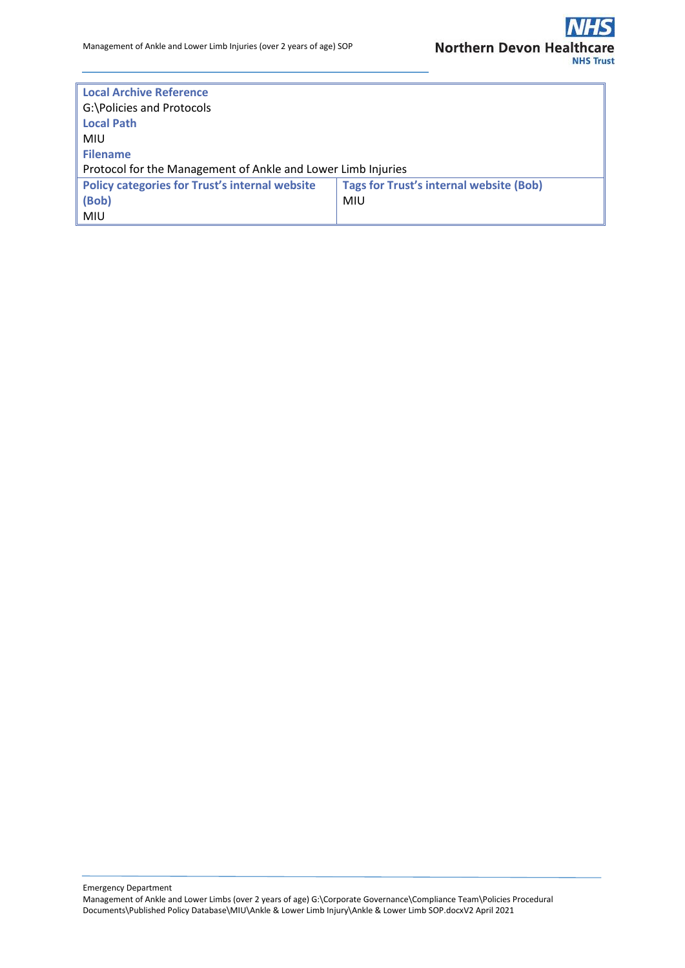| <b>Local Archive Reference</b>                               |                                                |  |  |  |  |
|--------------------------------------------------------------|------------------------------------------------|--|--|--|--|
| G:\Policies and Protocols                                    |                                                |  |  |  |  |
| <b>Local Path</b>                                            |                                                |  |  |  |  |
| MIU                                                          |                                                |  |  |  |  |
| <b>Filename</b>                                              |                                                |  |  |  |  |
| Protocol for the Management of Ankle and Lower Limb Injuries |                                                |  |  |  |  |
| <b>Policy categories for Trust's internal website</b>        | <b>Tags for Trust's internal website (Bob)</b> |  |  |  |  |
| (Bob)                                                        | <b>MIU</b>                                     |  |  |  |  |
| <b>MIU</b>                                                   |                                                |  |  |  |  |

Emergency Department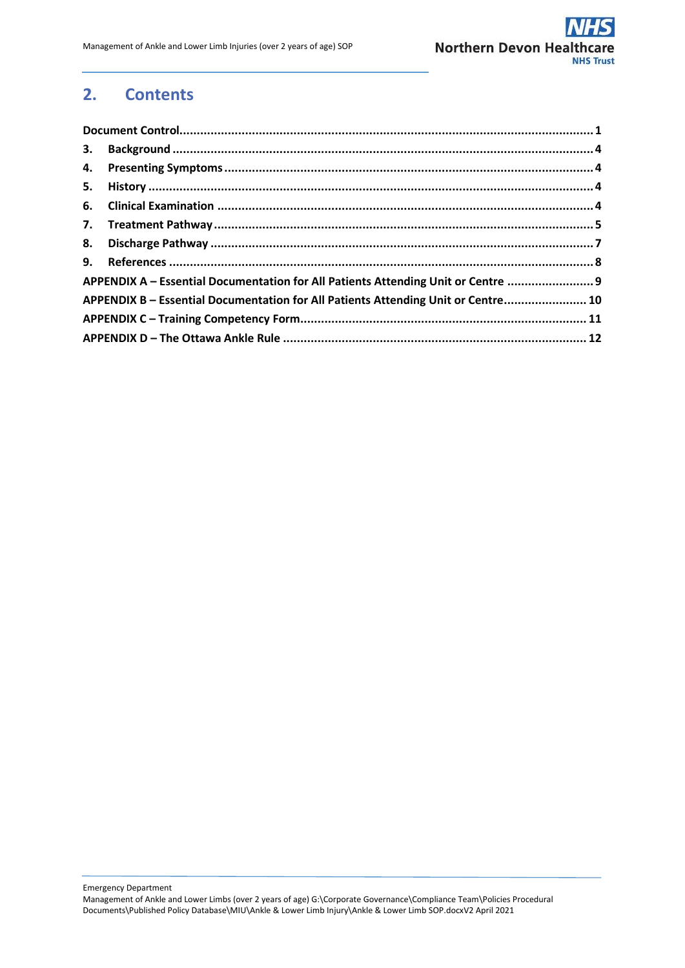## **2. Contents**

| APPENDIX A - Essential Documentation for All Patients Attending Unit or Centre  9 |  |
|-----------------------------------------------------------------------------------|--|
| APPENDIX B - Essential Documentation for All Patients Attending Unit or Centre 10 |  |
|                                                                                   |  |
|                                                                                   |  |

Emergency Department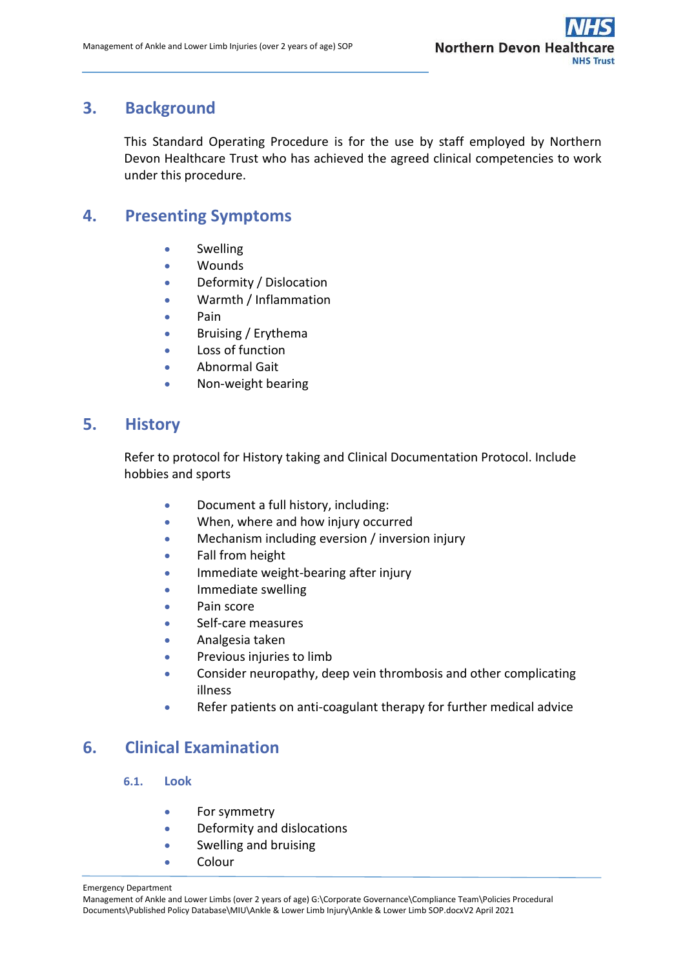## <span id="page-3-0"></span>**3. Background**

This Standard Operating Procedure is for the use by staff employed by Northern Devon Healthcare Trust who has achieved the agreed clinical competencies to work under this procedure.

## <span id="page-3-1"></span>**4. Presenting Symptoms**

- Swelling
- Wounds
- Deformity / Dislocation
- Warmth / Inflammation
- Pain
- Bruising / Erythema
- Loss of function
- Abnormal Gait
- Non-weight bearing

## <span id="page-3-2"></span>**5. History**

Refer to protocol for History taking and Clinical Documentation Protocol. Include hobbies and sports

- Document a full history, including:
- When, where and how injury occurred
- Mechanism including eversion / inversion injury
- Fall from height
- Immediate weight-bearing after injury
- **•** Immediate swelling
- Pain score
- Self-care measures
- Analgesia taken
- **•** Previous injuries to limb
- Consider neuropathy, deep vein thrombosis and other complicating illness
- Refer patients on anti-coagulant therapy for further medical advice

## <span id="page-3-3"></span>**6. Clinical Examination**

## **6.1. Look**

- **•** For symmetry
- Deformity and dislocations
- Swelling and bruising
- Colour

#### Emergency Department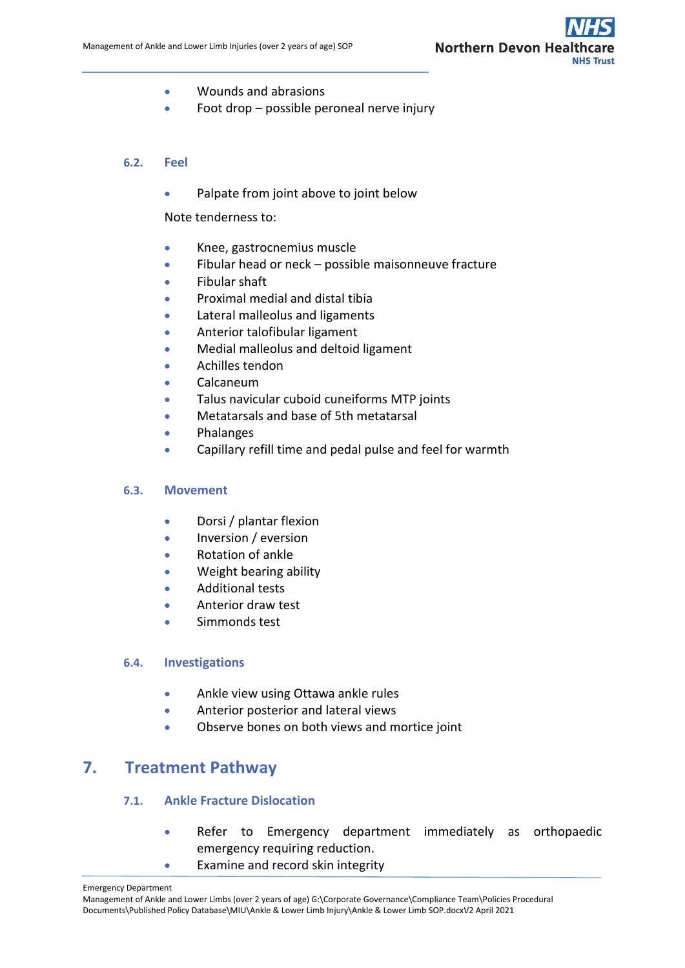

- Wounds and abrasions
- Foot drop possible peroneal nerve injury

### **6.2. Feel**

• Palpate from joint above to joint below

Note tenderness to:

- Knee, gastrocnemius muscle
- Fibular head or neck possible maisonneuve fracture
- Fibular shaft
- **•** Proximal medial and distal tibia
- Lateral malleolus and ligaments
- Anterior talofibular ligament
- Medial malleolus and deltoid ligament
- Achilles tendon
- Calcaneum
- Talus navicular cuboid cuneiforms MTP joints
- Metatarsals and base of 5th metatarsal
- **•** Phalanges
- Capillary refill time and pedal pulse and feel for warmth

### **6.3. Movement**

- Dorsi / plantar flexion
- Inversion / eversion
- Rotation of ankle
- Weight bearing ability
- Additional tests
- Anterior draw test
- Simmonds test

### **6.4. Investigations**

- Ankle view using Ottawa ankle rules
- Anterior posterior and lateral views
- Observe bones on both views and mortice joint

## <span id="page-4-0"></span>**7. Treatment Pathway**

### **7.1. Ankle Fracture Dislocation**

- Refer to Emergency department immediately as orthopaedic emergency requiring reduction.
- Examine and record skin integrity

Management of Ankle and Lower Limbs (over 2 years of age) G:\Corporate Governance\Compliance Team\Policies Procedural Documents\Published Policy Database\MIU\Ankle & Lower Limb Injury\Ankle & Lower Limb SOP.docxV2 April 2021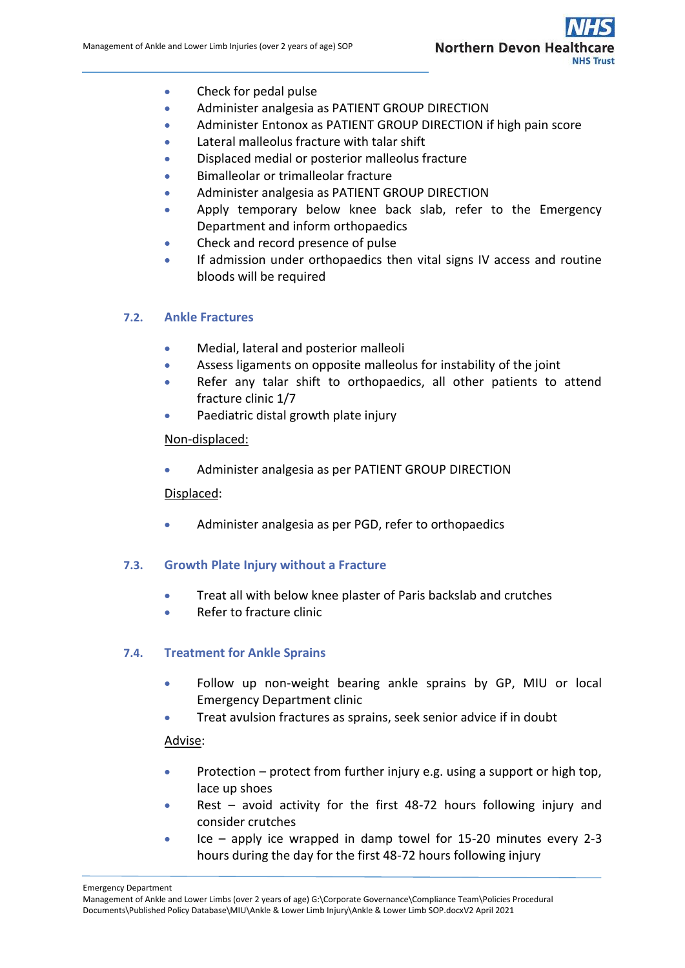

- Check for pedal pulse
- Administer analgesia as PATIENT GROUP DIRECTION
- Administer Entonox as PATIENT GROUP DIRECTION if high pain score
- Lateral malleolus fracture with talar shift
- Displaced medial or posterior malleolus fracture
- Bimalleolar or trimalleolar fracture
- Administer analgesia as PATIENT GROUP DIRECTION
- Apply temporary below knee back slab, refer to the Emergency Department and inform orthopaedics
- Check and record presence of pulse
- If admission under orthopaedics then vital signs IV access and routine bloods will be required

### **7.2. Ankle Fractures**

- Medial, lateral and posterior malleoli
- Assess ligaments on opposite malleolus for instability of the joint
- Refer any talar shift to orthopaedics, all other patients to attend fracture clinic 1/7
- Paediatric distal growth plate injury

### Non-displaced:

Administer analgesia as per PATIENT GROUP DIRECTION

### Displaced:

Administer analgesia as per PGD, refer to orthopaedics

### **7.3. Growth Plate Injury without a Fracture**

- Treat all with below knee plaster of Paris backslab and crutches
- Refer to fracture clinic

### **7.4. Treatment for Ankle Sprains**

- Follow up non-weight bearing ankle sprains by GP, MIU or local Emergency Department clinic
- Treat avulsion fractures as sprains, seek senior advice if in doubt

### Advise:

- Protection protect from further injury e.g. using a support or high top, lace up shoes
- Rest avoid activity for the first 48-72 hours following injury and consider crutches
- Ice apply ice wrapped in damp towel for 15-20 minutes every 2-3 hours during the day for the first 48-72 hours following injury

Emergency Department

Management of Ankle and Lower Limbs (over 2 years of age) G:\Corporate Governance\Compliance Team\Policies Procedural Documents\Published Policy Database\MIU\Ankle & Lower Limb Injury\Ankle & Lower Limb SOP.docxV2 April 2021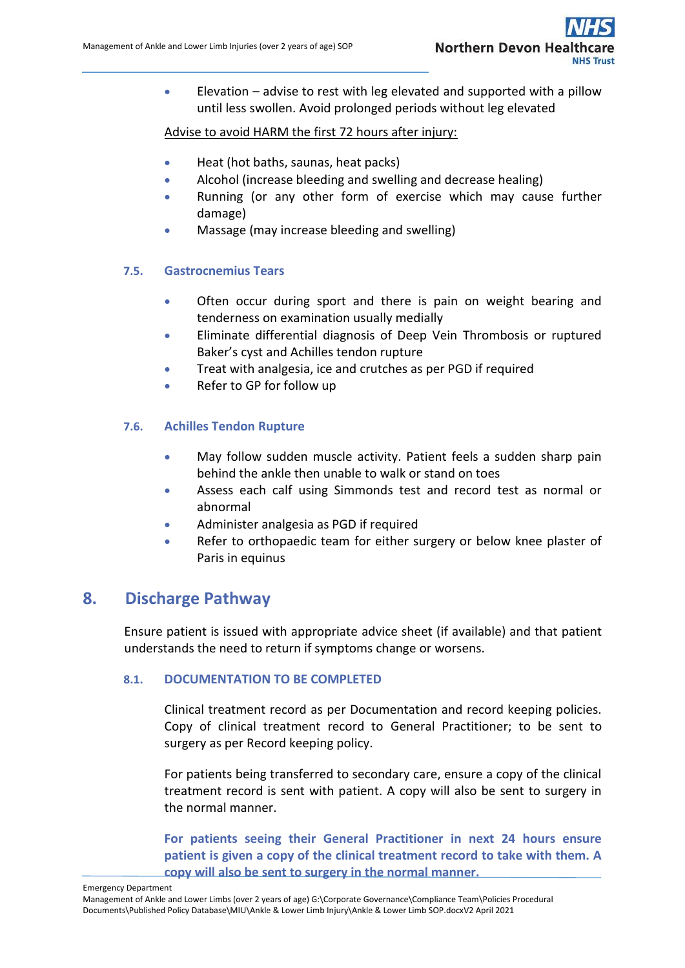Elevation – advise to rest with leg elevated and supported with a pillow until less swollen. Avoid prolonged periods without leg elevated

## Advise to avoid HARM the first 72 hours after injury:

- Heat (hot baths, saunas, heat packs)
- Alcohol (increase bleeding and swelling and decrease healing)
- Running (or any other form of exercise which may cause further damage)
- Massage (may increase bleeding and swelling)

## **7.5. Gastrocnemius Tears**

- Often occur during sport and there is pain on weight bearing and tenderness on examination usually medially
- Eliminate differential diagnosis of Deep Vein Thrombosis or ruptured Baker's cyst and Achilles tendon rupture
- **•** Treat with analgesia, ice and crutches as per PGD if required
- Refer to GP for follow up

## **7.6. Achilles Tendon Rupture**

- May follow sudden muscle activity. Patient feels a sudden sharp pain behind the ankle then unable to walk or stand on toes
- Assess each calf using Simmonds test and record test as normal or abnormal
- Administer analgesia as PGD if required
- Refer to orthopaedic team for either surgery or below knee plaster of Paris in equinus

## <span id="page-6-0"></span>**8. Discharge Pathway**

Ensure patient is issued with appropriate advice sheet (if available) and that patient understands the need to return if symptoms change or worsens.

## **8.1. DOCUMENTATION TO BE COMPLETED**

Clinical treatment record as per Documentation and record keeping policies. Copy of clinical treatment record to General Practitioner; to be sent to surgery as per Record keeping policy.

For patients being transferred to secondary care, ensure a copy of the clinical treatment record is sent with patient. A copy will also be sent to surgery in the normal manner.

**For patients seeing their General Practitioner in next 24 hours ensure patient is given a copy of the clinical treatment record to take with them. A copy will also be sent to surgery in the normal manner.**

Management of Ankle and Lower Limbs (over 2 years of age) G:\Corporate Governance\Compliance Team\Policies Procedural Documents\Published Policy Database\MIU\Ankle & Lower Limb Injury\Ankle & Lower Limb SOP.docxV2 April 2021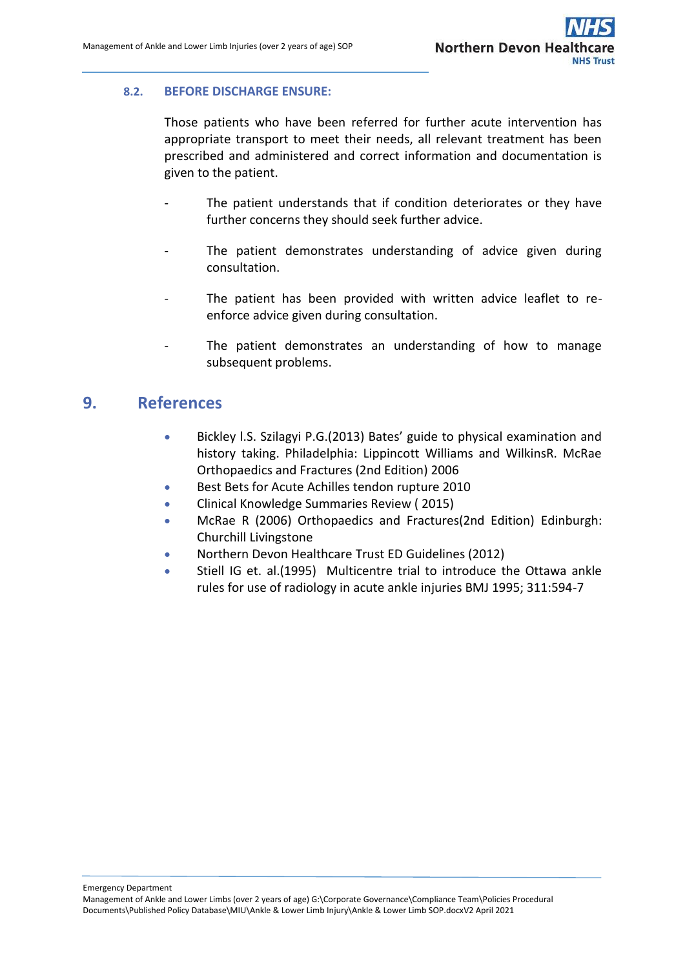## **8.2. BEFORE DISCHARGE ENSURE:**

Those patients who have been referred for further acute intervention has appropriate transport to meet their needs, all relevant treatment has been prescribed and administered and correct information and documentation is given to the patient.

- The patient understands that if condition deteriorates or they have further concerns they should seek further advice.
- The patient demonstrates understanding of advice given during consultation.
- The patient has been provided with written advice leaflet to reenforce advice given during consultation.
- The patient demonstrates an understanding of how to manage subsequent problems.

## <span id="page-7-0"></span>**9. References**

- Bickley l.S. Szilagyi P.G.(2013) Bates' guide to physical examination and history taking. Philadelphia: Lippincott Williams and WilkinsR. McRae Orthopaedics and Fractures (2nd Edition) 2006
- Best Bets for Acute Achilles tendon rupture 2010
- **•** Clinical Knowledge Summaries Review (2015)
- McRae R (2006) Orthopaedics and Fractures(2nd Edition) Edinburgh: Churchill Livingstone
- Northern Devon Healthcare Trust ED Guidelines (2012)
- Stiell IG et. al.(1995) Multicentre trial to introduce the Ottawa ankle rules for use of radiology in acute ankle injuries BMJ 1995; 311:594-7

Management of Ankle and Lower Limbs (over 2 years of age) G:\Corporate Governance\Compliance Team\Policies Procedural Documents\Published Policy Database\MIU\Ankle & Lower Limb Injury\Ankle & Lower Limb SOP.docxV2 April 2021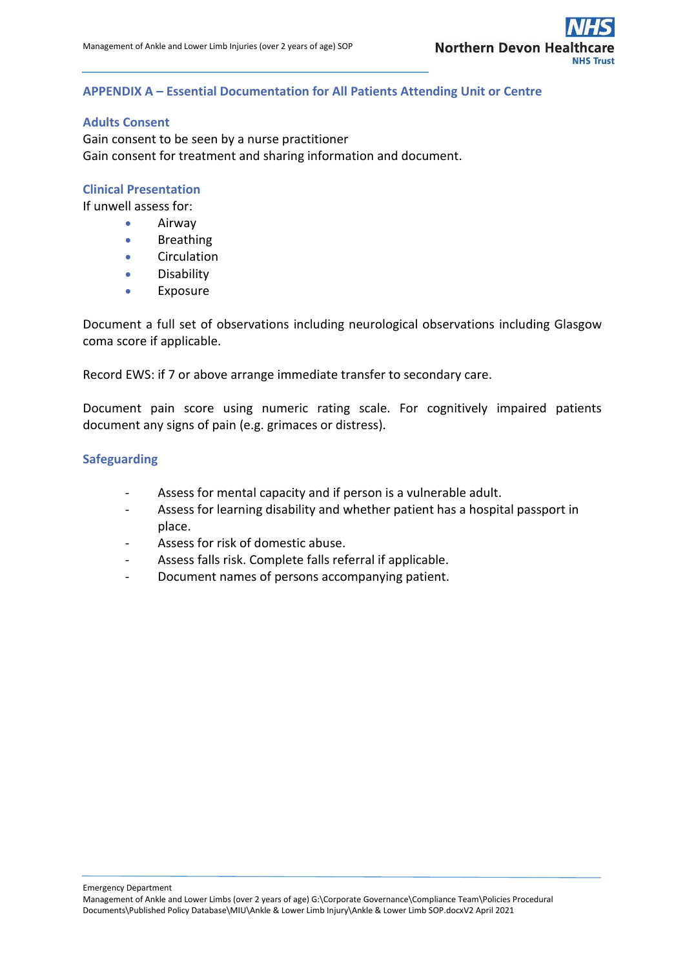## <span id="page-8-0"></span>**APPENDIX A – Essential Documentation for All Patients Attending Unit or Centre**

### **Adults Consent**

Gain consent to be seen by a nurse practitioner Gain consent for treatment and sharing information and document.

#### **Clinical Presentation**

If unwell assess for:

- Airway
- **•** Breathing
- **•** Circulation
- **•** Disability
- Exposure

Document a full set of observations including neurological observations including Glasgow coma score if applicable.

Record EWS: if 7 or above arrange immediate transfer to secondary care.

Document pain score using numeric rating scale. For cognitively impaired patients document any signs of pain (e.g. grimaces or distress).

#### **Safeguarding**

- Assess for mental capacity and if person is a vulnerable adult.
- Assess for learning disability and whether patient has a hospital passport in place.
- Assess for risk of domestic abuse.
- Assess falls risk. Complete falls referral if applicable.
- Document names of persons accompanying patient.

Management of Ankle and Lower Limbs (over 2 years of age) G:\Corporate Governance\Compliance Team\Policies Procedural Documents\Published Policy Database\MIU\Ankle & Lower Limb Injury\Ankle & Lower Limb SOP.docxV2 April 2021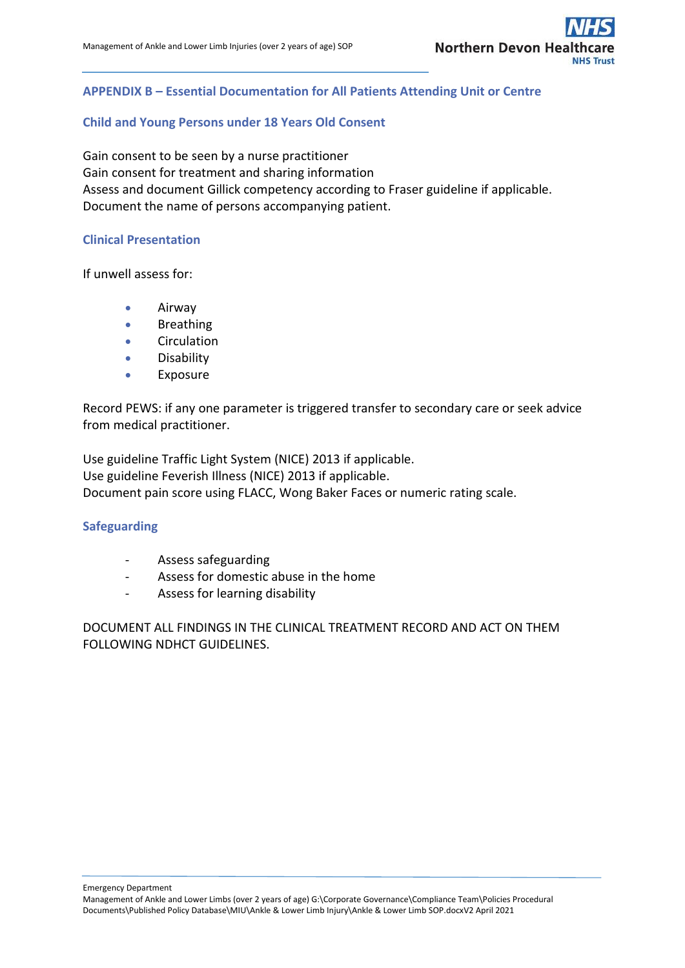## <span id="page-9-0"></span>**APPENDIX B – Essential Documentation for All Patients Attending Unit or Centre**

#### **Child and Young Persons under 18 Years Old Consent**

Gain consent to be seen by a nurse practitioner Gain consent for treatment and sharing information Assess and document Gillick competency according to Fraser guideline if applicable. Document the name of persons accompanying patient.

#### **Clinical Presentation**

If unwell assess for:

- **•** Airway
- **•** Breathing
- **•** Circulation
- **•** Disability
- Exposure

Record PEWS: if any one parameter is triggered transfer to secondary care or seek advice from medical practitioner.

Use guideline Traffic Light System (NICE) 2013 if applicable. Use guideline Feverish Illness (NICE) 2013 if applicable. Document pain score using FLACC, Wong Baker Faces or numeric rating scale.

#### **Safeguarding**

- Assess safeguarding
- Assess for domestic abuse in the home
- Assess for learning disability

DOCUMENT ALL FINDINGS IN THE CLINICAL TREATMENT RECORD AND ACT ON THEM FOLLOWING NDHCT GUIDELINES.

Management of Ankle and Lower Limbs (over 2 years of age) G:\Corporate Governance\Compliance Team\Policies Procedural Documents\Published Policy Database\MIU\Ankle & Lower Limb Injury\Ankle & Lower Limb SOP.docxV2 April 2021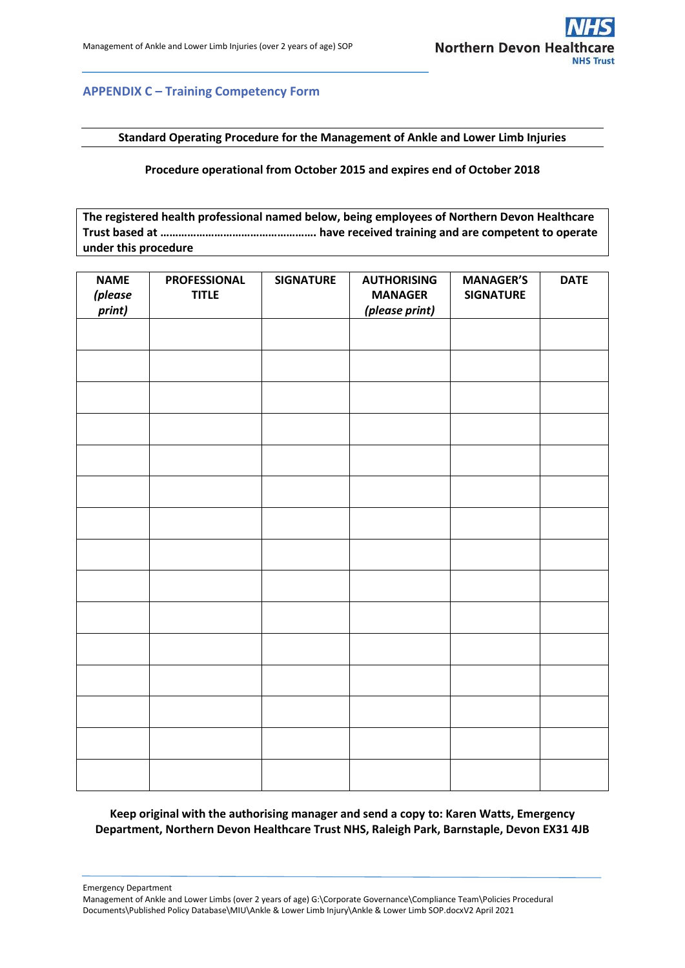

## <span id="page-10-0"></span>**APPENDIX C – Training Competency Form**

**Standard Operating Procedure for the Management of Ankle and Lower Limb Injuries**

**Procedure operational from October 2015 and expires end of October 2018**

**The registered health professional named below, being employees of Northern Devon Healthcare Trust based at ……………………………………………. have received training and are competent to operate under this procedure**

| <b>NAME</b><br><i>(please</i><br>print) | <b>PROFESSIONAL</b><br><b>TITLE</b> | <b>SIGNATURE</b> | <b>AUTHORISING</b><br><b>MANAGER</b><br>(please print) | <b>MANAGER'S</b><br><b>SIGNATURE</b> | <b>DATE</b> |
|-----------------------------------------|-------------------------------------|------------------|--------------------------------------------------------|--------------------------------------|-------------|
|                                         |                                     |                  |                                                        |                                      |             |
|                                         |                                     |                  |                                                        |                                      |             |
|                                         |                                     |                  |                                                        |                                      |             |
|                                         |                                     |                  |                                                        |                                      |             |
|                                         |                                     |                  |                                                        |                                      |             |
|                                         |                                     |                  |                                                        |                                      |             |
|                                         |                                     |                  |                                                        |                                      |             |
|                                         |                                     |                  |                                                        |                                      |             |
|                                         |                                     |                  |                                                        |                                      |             |
|                                         |                                     |                  |                                                        |                                      |             |
|                                         |                                     |                  |                                                        |                                      |             |
|                                         |                                     |                  |                                                        |                                      |             |
|                                         |                                     |                  |                                                        |                                      |             |
|                                         |                                     |                  |                                                        |                                      |             |
|                                         |                                     |                  |                                                        |                                      |             |

**Keep original with the authorising manager and send a copy to: Karen Watts, Emergency Department, Northern Devon Healthcare Trust NHS, Raleigh Park, Barnstaple, Devon EX31 4JB**

Emergency Department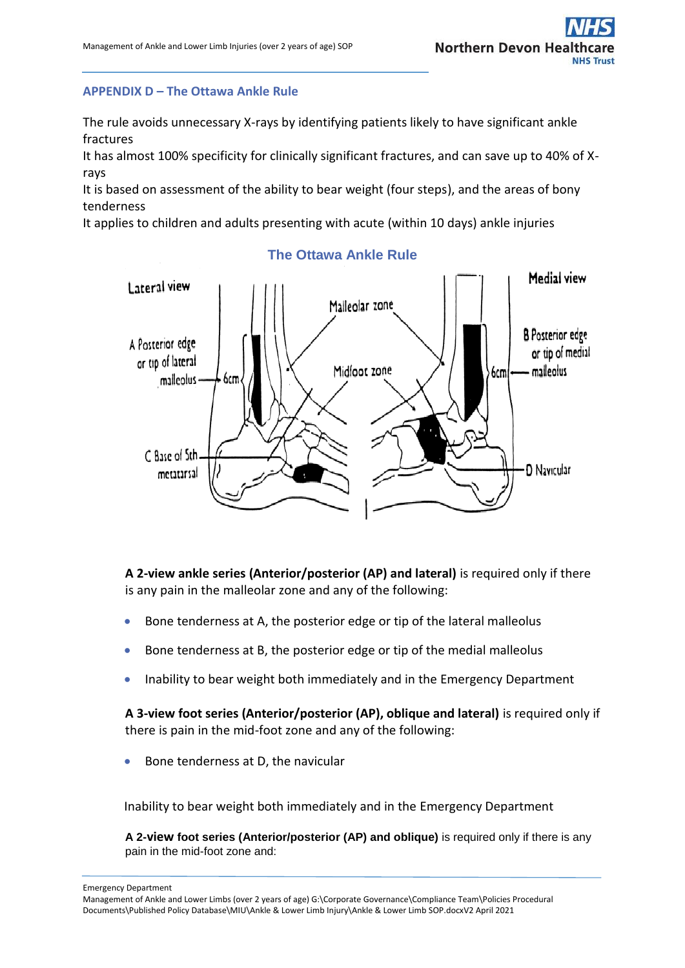## <span id="page-11-0"></span>**APPENDIX D – The Ottawa Ankle Rule**

The rule avoids unnecessary X-rays by identifying patients likely to have significant ankle fractures

It has almost 100% specificity for clinically significant fractures, and can save up to 40% of Xrays

It is based on assessment of the ability to bear weight (four steps), and the areas of bony tenderness

It applies to children and adults presenting with acute (within 10 days) ankle injuries



### **The Ottawa Ankle Rule**

**A 2-view ankle series (Anterior/posterior (AP) and lateral)** is required only if there is any pain in the malleolar zone and any of the following:

- Bone tenderness at A, the posterior edge or tip of the lateral malleolus
- Bone tenderness at B, the posterior edge or tip of the medial malleolus
- Inability to bear weight both immediately and in the Emergency Department

**A 3-view foot series (Anterior/posterior (AP), oblique and lateral)** is required only if there is pain in the mid-foot zone and any of the following:

Bone tenderness at D, the navicular

Inability to bear weight both immediately and in the Emergency Department

**A 2-view foot series (Anterior/posterior (AP) and oblique)** is required only if there is any pain in the mid-foot zone and:

Emergency Department